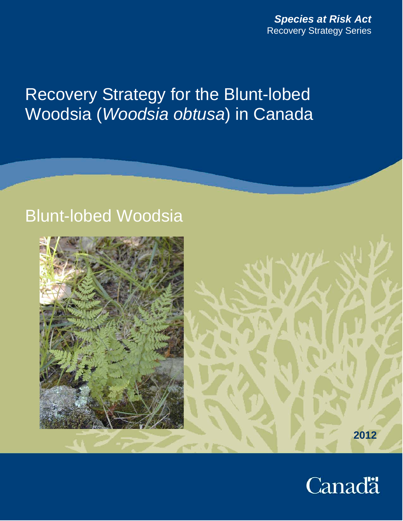# Recovery Strategy for the Blunt-lobed Woodsia (*Woodsia obtusa*) in Canada

# Blunt-lobed Woodsia





**2012**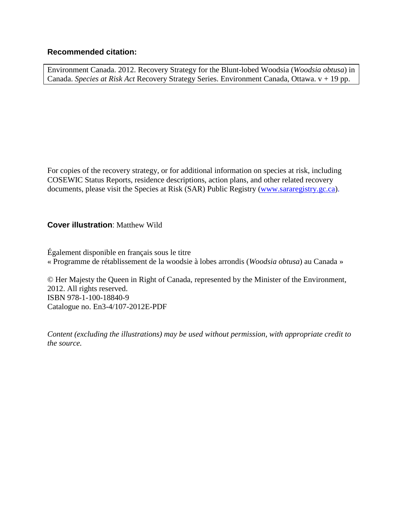#### **Recommended citation:**

Environment Canada. 2012. Recovery Strategy for the Blunt-lobed Woodsia (*Woodsia obtusa*) in Canada. *Species at Risk Act* Recovery Strategy Series. Environment Canada, Ottawa. v + 19 pp.

For copies of the recovery strategy, or for additional information on species at risk, including COSEWIC Status Reports, residence descriptions, action plans, and other related recovery documents, please visit the Species at Risk (SAR) Public Registry [\(www.sararegistry.gc.ca\)](http://www.sararegistry.gc.ca/).

#### **Cover illustration**: Matthew Wild

Également disponible en français sous le titre « Programme de rétablissement de la woodsie à lobes arrondis (*Woodsia obtusa*) au Canada »

© Her Majesty the Queen in Right of Canada, represented by the Minister of the Environment, 2012. All rights reserved. ISBN 978-1-100-18840-9 Catalogue no. En3-4/107-2012E-PDF

*Content (excluding the illustrations) may be used without permission, with appropriate credit to the source.*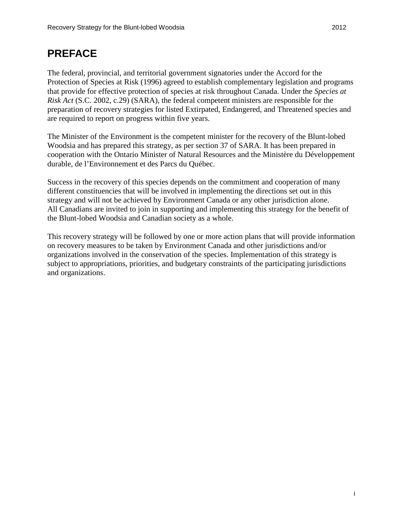# <span id="page-2-0"></span>**PREFACE**

The federal, provincial, and territorial government signatories under the Accord for the Protection of Species at Risk (1996) agreed to establish complementary legislation and programs that provide for effective protection of species at risk throughout Canada. Under the *Species at Risk Act* (S.C. 2002, c.29) (SARA), the federal competent ministers are responsible for the preparation of recovery strategies for listed Extirpated, Endangered, and Threatened species and are required to report on progress within five years.

The Minister of the Environment is the competent minister for the recovery of the Blunt-lobed Woodsia and has prepared this strategy, as per section 37 of SARA. It has been prepared in cooperation with the Ontario Minister of Natural Resources and the Ministère du Développement durable, de l'Environnement et des Parcs du Québec.

Success in the recovery of this species depends on the commitment and cooperation of many different constituencies that will be involved in implementing the directions set out in this strategy and will not be achieved by Environment Canada or any other jurisdiction alone. All Canadians are invited to join in supporting and implementing this strategy for the benefit of the Blunt-lobed Woodsia and Canadian society as a whole.

<span id="page-2-1"></span>This recovery strategy will be followed by one or more action plans that will provide information on recovery measures to be taken by Environment Canada and other jurisdictions and/or organizations involved in the conservation of the species. Implementation of this strategy is subject to appropriations, priorities, and budgetary constraints of the participating jurisdictions and organizations.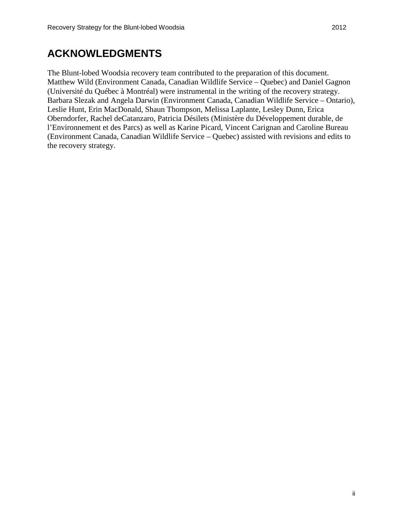# **ACKNOWLEDGMENTS**

The Blunt-lobed Woodsia recovery team contributed to the preparation of this document. Matthew Wild (Environment Canada, Canadian Wildlife Service – Quebec) and Daniel Gagnon (Université du Québec à Montréal) were instrumental in the writing of the recovery strategy. Barbara Slezak and Angela Darwin (Environment Canada, Canadian Wildlife Service – Ontario), Leslie Hunt, Erin MacDonald, Shaun Thompson, Melissa Laplante, Lesley Dunn, Erica Oberndorfer, Rachel deCatanzaro, Patricia Désilets (Ministère du Développement durable, de l'Environnement et des Parcs) as well as Karine Picard, Vincent Carignan and Caroline Bureau (Environment Canada, Canadian Wildlife Service – Quebec) assisted with revisions and edits to the recovery strategy.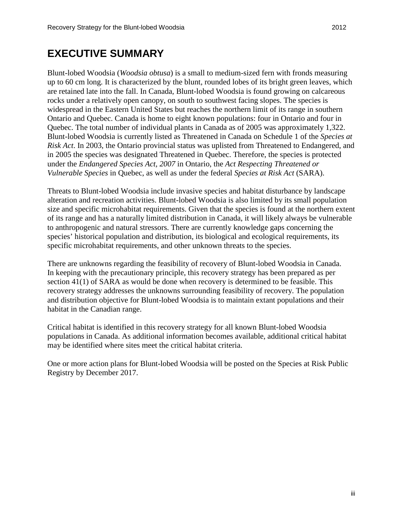# <span id="page-4-0"></span>**EXECUTIVE SUMMARY**

Blunt-lobed Woodsia (*Woodsia obtusa*) is a small to medium-sized fern with fronds measuring up to 60 cm long. It is characterized by the blunt, rounded lobes of its bright green leaves, which are retained late into the fall. In Canada, Blunt-lobed Woodsia is found growing on calcareous rocks under a relatively open canopy, on south to southwest facing slopes. The species is widespread in the Eastern United States but reaches the northern limit of its range in southern Ontario and Quebec. Canada is home to eight known populations: four in Ontario and four in Quebec. The total number of individual plants in Canada as of 2005 was approximately 1,322. Blunt-lobed Woodsia is currently listed as Threatened in Canada on Schedule 1 of the *Species at Risk Act*. In 2003, the Ontario provincial status was uplisted from Threatened to Endangered, and in 2005 the species was designated Threatened in Quebec. Therefore, the species is protected under the *Endangered Species Act, 2007* in Ontario, the *Act Respecting Threatened or Vulnerable Species* in Quebec, as well as under the federal *Species at Risk Act* (SARA).

Threats to Blunt-lobed Woodsia include invasive species and habitat disturbance by landscape alteration and recreation activities. Blunt-lobed Woodsia is also limited by its small population size and specific microhabitat requirements. Given that the species is found at the northern extent of its range and has a naturally limited distribution in Canada, it will likely always be vulnerable to anthropogenic and natural stressors. There are currently knowledge gaps concerning the species' historical population and distribution, its biological and ecological requirements, its specific microhabitat requirements, and other unknown threats to the species.

There are unknowns regarding the feasibility of recovery of Blunt-lobed Woodsia in Canada. In keeping with the precautionary principle, this recovery strategy has been prepared as per section 41(1) of SARA as would be done when recovery is determined to be feasible. This recovery strategy addresses the unknowns surrounding feasibility of recovery. The population and distribution objective for Blunt-lobed Woodsia is to maintain extant populations and their habitat in the Canadian range.

Critical habitat is identified in this recovery strategy for all known Blunt-lobed Woodsia populations in Canada. As additional information becomes available, additional critical habitat may be identified where sites meet the critical habitat criteria.

One or more action plans for Blunt-lobed Woodsia will be posted on the Species at Risk Public Registry by December 2017.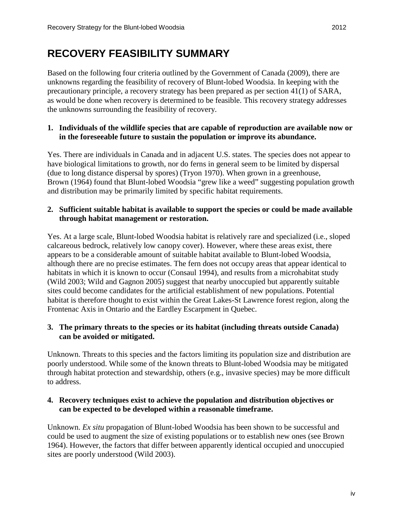# <span id="page-5-0"></span>**RECOVERY FEASIBILITY SUMMARY**

Based on the following four criteria outlined by the Government of Canada (2009), there are unknowns regarding the feasibility of recovery of Blunt-lobed Woodsia. In keeping with the precautionary principle, a recovery strategy has been prepared as per section 41(1) of SARA, as would be done when recovery is determined to be feasible. This recovery strategy addresses the unknowns surrounding the feasibility of recovery.

#### **1. Individuals of the wildlife species that are capable of reproduction are available now or in the foreseeable future to sustain the population or improve its abundance.**

Yes. There are individuals in Canada and in adjacent U.S. states. The species does not appear to have biological limitations to growth, nor do ferns in general seem to be limited by dispersal (due to long distance dispersal by spores) (Tryon 1970). When grown in a greenhouse, Brown (1964) found that Blunt-lobed Woodsia "grew like a weed" suggesting population growth and distribution may be primarily limited by specific habitat requirements.

#### **2. Sufficient suitable habitat is available to support the species or could be made available through habitat management or restoration.**

Yes. At a large scale, Blunt-lobed Woodsia habitat is relatively rare and specialized (i.e., sloped calcareous bedrock, relatively low canopy cover). However, where these areas exist, there appears to be a considerable amount of suitable habitat available to Blunt-lobed Woodsia, although there are no precise estimates. The fern does not occupy areas that appear identical to habitats in which it is known to occur (Consaul 1994), and results from a microhabitat study (Wild 2003; Wild and Gagnon 2005) suggest that nearby unoccupied but apparently suitable sites could become candidates for the artificial establishment of new populations. Potential habitat is therefore thought to exist within the Great Lakes-St Lawrence forest region, along the Frontenac Axis in Ontario and the Eardley Escarpment in Quebec.

#### **3. The primary threats to the species or its habitat (including threats outside Canada) can be avoided or mitigated.**

Unknown. Threats to this species and the factors limiting its population size and distribution are poorly understood. While some of the known threats to Blunt-lobed Woodsia may be mitigated through habitat protection and stewardship, others (e.g., invasive species) may be more difficult to address.

#### **4. Recovery techniques exist to achieve the population and distribution objectives or can be expected to be developed within a reasonable timeframe.**

Unknown. *Ex situ* propagation of Blunt-lobed Woodsia has been shown to be successful and could be used to augment the size of existing populations or to establish new ones (see Brown 1964). However, the factors that differ between apparently identical occupied and unoccupied sites are poorly understood (Wild 2003).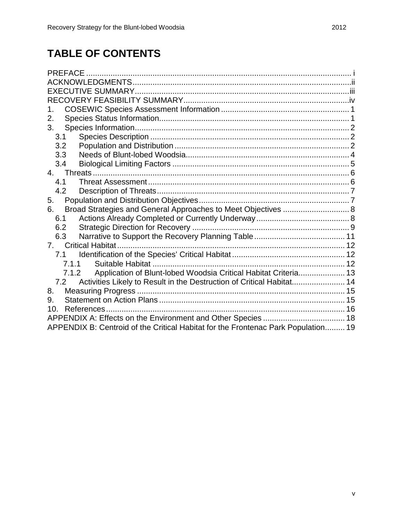# **TABLE OF CONTENTS**

| 1.                                                                                |  |  |  |  |  |
|-----------------------------------------------------------------------------------|--|--|--|--|--|
| 2.                                                                                |  |  |  |  |  |
| 3.                                                                                |  |  |  |  |  |
| 3.1                                                                               |  |  |  |  |  |
| 3.2                                                                               |  |  |  |  |  |
| 3.3                                                                               |  |  |  |  |  |
| 3.4                                                                               |  |  |  |  |  |
| 4.                                                                                |  |  |  |  |  |
| 4.1                                                                               |  |  |  |  |  |
| 4.2                                                                               |  |  |  |  |  |
| 5.                                                                                |  |  |  |  |  |
| Broad Strategies and General Approaches to Meet Objectives  8<br>6.               |  |  |  |  |  |
| 6.1                                                                               |  |  |  |  |  |
| 6.2                                                                               |  |  |  |  |  |
| 6.3                                                                               |  |  |  |  |  |
| 7.                                                                                |  |  |  |  |  |
| 7.1                                                                               |  |  |  |  |  |
| 7.1.1                                                                             |  |  |  |  |  |
| Application of Blunt-lobed Woodsia Critical Habitat Criteria 13<br>7.1.2          |  |  |  |  |  |
| Activities Likely to Result in the Destruction of Critical Habitat 14<br>7.2      |  |  |  |  |  |
| 8.                                                                                |  |  |  |  |  |
| 9.                                                                                |  |  |  |  |  |
| 10 <sup>1</sup>                                                                   |  |  |  |  |  |
|                                                                                   |  |  |  |  |  |
| APPENDIX B: Centroid of the Critical Habitat for the Frontenac Park Population 19 |  |  |  |  |  |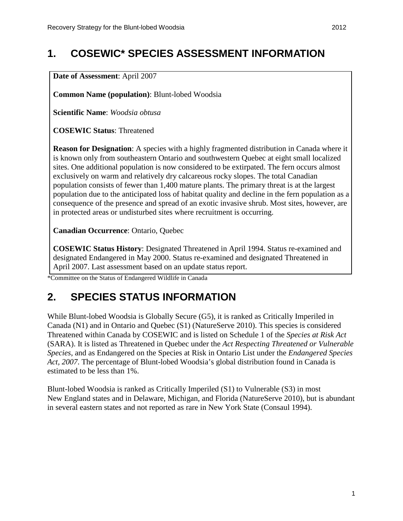# <span id="page-7-0"></span>**1. COSEWIC\* SPECIES ASSESSMENT INFORMATION**

**Date of Assessment**: April 2007

**Common Name (population)**: Blunt-lobed Woodsia

**Scientific Name**: *Woodsia obtusa*

**COSEWIC Status**: Threatened

**Reason for Designation**: A species with a highly fragmented distribution in Canada where it is known only from southeastern Ontario and southwestern Quebec at eight small localized sites. One additional population is now considered to be extirpated. The fern occurs almost exclusively on warm and relatively dry calcareous rocky slopes. The total Canadian population consists of fewer than 1,400 mature plants. The primary threat is at the largest population due to the anticipated loss of habitat quality and decline in the fern population as a consequence of the presence and spread of an exotic invasive shrub. Most sites, however, are in protected areas or undisturbed sites where recruitment is occurring.

**Canadian Occurrence**: Ontario, Quebec

**COSEWIC Status History**: Designated Threatened in April 1994. Status re-examined and designated Endangered in May 2000. Status re-examined and designated Threatened in April 2007. Last assessment based on an update status report.

\*Committee on the Status of Endangered Wildlife in Canada

## <span id="page-7-1"></span>**2. SPECIES STATUS INFORMATION**

While Blunt-lobed Woodsia is Globally Secure (G5), it is ranked as Critically Imperiled in Canada (N1) and in Ontario and Quebec (S1) (NatureServe 2010). This species is considered Threatened within Canada by COSEWIC and is listed on Schedule 1 of the *Species at Risk Act* (SARA). It is listed as Threatened in Quebec under the *Act Respecting Threatened or Vulnerable Species*, and as Endangered on the Species at Risk in Ontario List under the *Endangered Species Act, 2007*. The percentage of Blunt-lobed Woodsia's global distribution found in Canada is estimated to be less than 1%.

Blunt-lobed Woodsia is ranked as Critically Imperiled (S1) to Vulnerable (S3) in most New England states and in Delaware, Michigan, and Florida (NatureServe 2010), but is abundant in several eastern states and not reported as rare in New York State (Consaul 1994).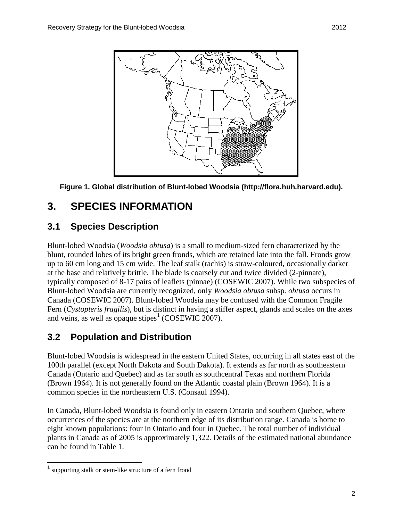

**Figure 1. Global distribution of Blunt-lobed Woodsia (http://flora.huh.harvard.edu).**

## <span id="page-8-0"></span>**3. SPECIES INFORMATION**

### <span id="page-8-1"></span>**3.1 Species Description**

Blunt-lobed Woodsia (*Woodsia obtusa*) is a small to medium-sized fern characterized by the blunt, rounded lobes of its bright green fronds, which are retained late into the fall. Fronds grow up to 60 cm long and 15 cm wide. The leaf stalk (rachis) is straw-coloured, occasionally darker at the base and relatively brittle. The blade is coarsely cut and twice divided (2-pinnate), typically composed of 8-17 pairs of leaflets (pinnae) (COSEWIC 2007). While two subspecies of Blunt-lobed Woodsia are currently recognized, only *Woodsia obtusa* subsp. *obtusa* occurs in Canada (COSEWIC 2007). Blunt-lobed Woodsia may be confused with the Common Fragile Fern (*Cystopteris fragilis*), but is distinct in having a stiffer aspect, glands and scales on the axes and veins, as well as opaque stipes<sup> $1$ </sup> (COSEWIC 2007).

### <span id="page-8-2"></span>**3.2 Population and Distribution**

Blunt-lobed Woodsia is widespread in the eastern United States, occurring in all states east of the 100th parallel (except North Dakota and South Dakota). It extends as far north as southeastern Canada (Ontario and Quebec) and as far south as southcentral Texas and northern Florida (Brown 1964). It is not generally found on the Atlantic coastal plain (Brown 1964). It is a common species in the northeastern U.S. (Consaul 1994).

In Canada, Blunt-lobed Woodsia is found only in eastern Ontario and southern Quebec, where occurrences of the species are at the northern edge of its distribution range. Canada is home to eight known populations: four in Ontario and four in Quebec. The total number of individual plants in Canada as of 2005 is approximately 1,322. Details of the estimated national abundance can be found in Table 1.

<span id="page-8-3"></span><sup>&</sup>lt;sup>1</sup> supporting stalk or stem-like structure of a fern frond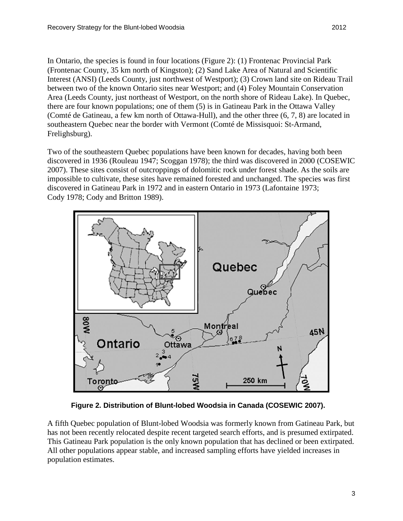In Ontario, the species is found in four locations (Figure 2): (1) Frontenac Provincial Park (Frontenac County, 35 km north of Kingston); (2) Sand Lake Area of Natural and Scientific Interest (ANSI) (Leeds County, just northwest of Westport); (3) Crown land site on Rideau Trail between two of the known Ontario sites near Westport; and (4) Foley Mountain Conservation Area (Leeds County, just northeast of Westport, on the north shore of Rideau Lake). In Quebec, there are four known populations; one of them (5) is in Gatineau Park in the Ottawa Valley (Comté de Gatineau, a few km north of Ottawa-Hull), and the other three (6, 7, 8) are located in southeastern Quebec near the border with Vermont (Comté de Missisquoi: St-Armand, Frelighsburg).

Two of the southeastern Quebec populations have been known for decades, having both been discovered in 1936 (Rouleau 1947; Scoggan 1978); the third was discovered in 2000 (COSEWIC 2007). These sites consist of outcroppings of dolomitic rock under forest shade. As the soils are impossible to cultivate, these sites have remained forested and unchanged. The species was first discovered in Gatineau Park in 1972 and in eastern Ontario in 1973 (Lafontaine 1973; Cody 1978; Cody and Britton 1989).



**Figure 2. Distribution of Blunt-lobed Woodsia in Canada (COSEWIC 2007).**

A fifth Quebec population of Blunt-lobed Woodsia was formerly known from Gatineau Park, but has not been recently relocated despite recent targeted search efforts, and is presumed extirpated. This Gatineau Park population is the only known population that has declined or been extirpated. All other populations appear stable, and increased sampling efforts have yielded increases in population estimates.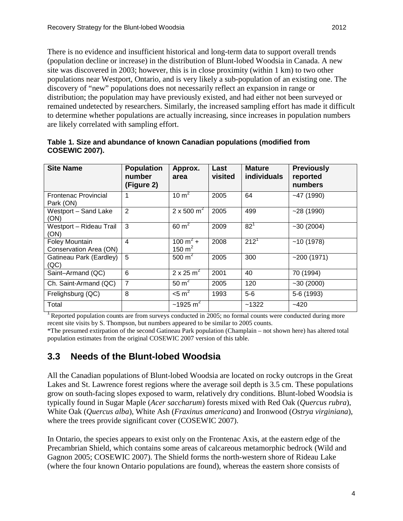There is no evidence and insufficient historical and long-term data to support overall trends (population decline or increase) in the distribution of Blunt-lobed Woodsia in Canada. A new site was discovered in 2003; however, this is in close proximity (within 1 km) to two other populations near Westport, Ontario, and is very likely a sub-population of an existing one. The discovery of "new" populations does not necessarily reflect an expansion in range or distribution; the population may have previously existed, and had either not been surveyed or remained undetected by researchers. Similarly, the increased sampling effort has made it difficult to determine whether populations are actually increasing, since increases in population numbers are likely correlated with sampling effort.

| <b>Site Name</b>                                | <b>Population</b><br>number<br>(Figure 2) | Approx.<br>area                 | Last<br>visited | <b>Mature</b><br><b>individuals</b> | <b>Previously</b><br>reported<br>numbers |
|-------------------------------------------------|-------------------------------------------|---------------------------------|-----------------|-------------------------------------|------------------------------------------|
| <b>Frontenac Provincial</b><br>Park (ON)        | 1                                         | 10 $m2$                         | 2005            | 64                                  | $-47(1990)$                              |
| Westport - Sand Lake<br>(ON)                    | 2                                         | $2 \times 500 \text{ m}^2$      | 2005            | 499                                 | $-28(1990)$                              |
| Westport - Rideau Trail<br>(ON)                 | 3                                         | $60 \text{ m}^2$                | 2009            | 82 <sup>1</sup>                     | $-30(2004)$                              |
| <b>Foley Mountain</b><br>Conservation Area (ON) | 4                                         | $100 \text{ m}^2 +$<br>150 $m2$ | 2008            | $212^{1}$                           | ~10(1978)                                |
| Gatineau Park (Eardley)<br>(QC)                 | 5                                         | 500 $m^2$                       | 2005            | 300                                 | ~200(1971)                               |
| Saint-Armand (QC)                               | 6                                         | $2 \times 25 \text{ m}^2$       | 2001            | 40                                  | 70 (1994)                                |
| Ch. Saint-Armand (QC)                           | 7                                         | $50 \text{ m}^2$                | 2005            | 120                                 | $-30(2000)$                              |
| Frelighsburg (QC)                               | 8                                         | $<$ 5 m <sup>2</sup>            | 1993            | $5-6$                               | 5-6 (1993)                               |
| Total                                           |                                           | $~1925 \text{ m}^2$             |                 | ~1322                               | $-420$                                   |

**Table 1. Size and abundance of known Canadian populations (modified from COSEWIC 2007).**

<sup>1</sup> Reported population counts are from surveys conducted in 2005; no formal counts were conducted during more recent site visits by S. Thompson, but numbers appeared to be similar to 2005 counts.

\*The presumed extirpation of the second Gatineau Park population (Champlain – not shown here) has altered total population estimates from the original COSEWIC 2007 version of this table.

### <span id="page-10-0"></span>**3.3 Needs of the Blunt-lobed Woodsia**

All the Canadian populations of Blunt-lobed Woodsia are located on rocky outcrops in the Great Lakes and St. Lawrence forest regions where the average soil depth is 3.5 cm. These populations grow on south-facing slopes exposed to warm, relatively dry conditions. Blunt-lobed Woodsia is typically found in Sugar Maple (*Acer saccharum*) forests mixed with Red Oak (*Quercus rubra*), White Oak (*Quercus alba*), White Ash (*Fraxinus americana*) and Ironwood (*Ostrya virginiana*), where the trees provide significant cover (COSEWIC 2007).

In Ontario, the species appears to exist only on the Frontenac Axis, at the eastern edge of the Precambrian Shield, which contains some areas of calcareous metamorphic bedrock (Wild and Gagnon 2005; COSEWIC 2007). The Shield forms the north-western shore of Rideau Lake (where the four known Ontario populations are found), whereas the eastern shore consists of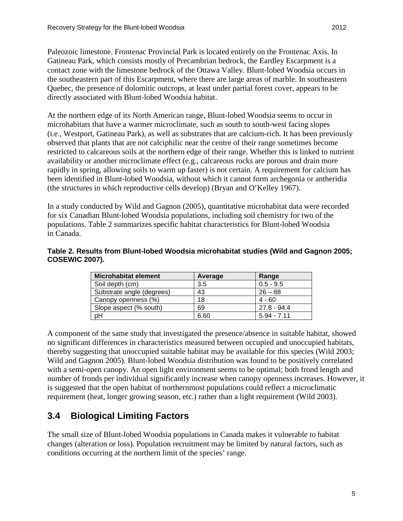Paleozoic limestone. Frontenac Provincial Park is located entirely on the Frontenac Axis. In Gatineau Park, which consists mostly of Precambrian bedrock, the Eardley Escarpment is a contact zone with the limestone bedrock of the Ottawa Valley. Blunt-lobed Woodsia occurs in the southeastern part of this Escarpment, where there are large areas of marble. In southeastern Quebec, the presence of dolomitic outcrops, at least under partial forest cover, appears to be directly associated with Blunt-lobed Woodsia habitat.

At the northern edge of its North American range, Blunt-lobed Woodsia seems to occur in microhabitats that have a warmer microclimate, such as south to south-west facing slopes (i.e., Westport, Gatineau Park), as well as substrates that are calcium-rich. It has been previously observed that plants that are not calciphilic near the centre of their range sometimes become restricted to calcareous soils at the northern edge of their range. Whether this is linked to nutrient availability or another microclimate effect (e.g., calcareous rocks are porous and drain more rapidly in spring, allowing soils to warm up faster) is not certain. A requirement for calcium has been identified in Blunt-lobed Woodsia, without which it cannot form archegonia or antheridia (the structures in which reproductive cells develop) (Bryan and O'Kelley 1967).

In a study conducted by Wild and Gagnon (2005), quantitative microhabitat data were recorded for six Canadian Blunt-lobed Woodsia populations, including soil chemistry for two of the populations. Table 2 summarizes specific habitat characteristics for Blunt-lobed Woodsia in Canada.

#### **Table 2. Results from Blunt-lobed Woodsia microhabitat studies (Wild and Gagnon 2005; COSEWIC 2007).**

| <b>Microhabitat element</b> | Average | Range         |
|-----------------------------|---------|---------------|
| Soil depth (cm)             | 3.5     | $0.5 - 9.5$   |
| Substrate angle (degrees)   | 43      | $26 - 88$     |
| Canopy openness (%)         | 18      | $4 - 60$      |
| Slope aspect (% south)      | 69      | 27.8 - 94.4   |
| pH                          | 6.60    | $5.94 - 7.11$ |

A component of the same study that investigated the presence/absence in suitable habitat, showed no significant differences in characteristics measured between occupied and unoccupied habitats, thereby suggesting that unoccupied suitable habitat may be available for this species (Wild 2003; Wild and Gagnon 2005). Blunt-lobed Woodsia distribution was found to be positively correlated with a semi-open canopy. An open light environment seems to be optimal; both frond length and number of fronds per individual significantly increase when canopy openness increases. However, it is suggested that the open habitat of northernmost populations could reflect a microclimatic requirement (heat, longer growing season, etc.) rather than a light requirement (Wild 2003).

### <span id="page-11-0"></span>**3.4 Biological Limiting Factors**

The small size of Blunt-lobed Woodsia populations in Canada makes it vulnerable to habitat changes (alteration or loss). Population recruitment may be limited by natural factors, such as conditions occurring at the northern limit of the species' range.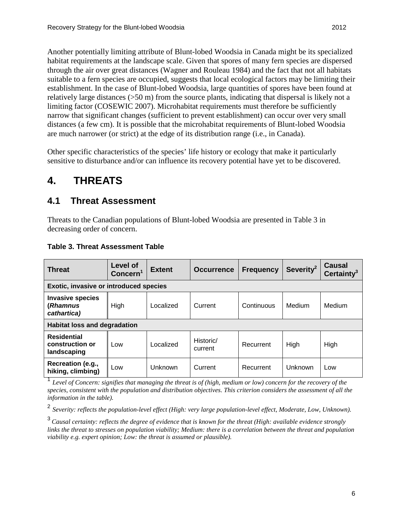Another potentially limiting attribute of Blunt-lobed Woodsia in Canada might be its specialized habitat requirements at the landscape scale. Given that spores of many fern species are dispersed through the air over great distances (Wagner and Rouleau 1984) and the fact that not all habitats suitable to a fern species are occupied, suggests that local ecological factors may be limiting their establishment. In the case of Blunt-lobed Woodsia, large quantities of spores have been found at relatively large distances (>50 m) from the source plants, indicating that dispersal is likely not a limiting factor (COSEWIC 2007). Microhabitat requirements must therefore be sufficiently narrow that significant changes (sufficient to prevent establishment) can occur over very small distances (a few cm). It is possible that the microhabitat requirements of Blunt-lobed Woodsia are much narrower (or strict) at the edge of its distribution range (i.e., in Canada).

Other specific characteristics of the species' life history or ecology that make it particularly sensitive to disturbance and/or can influence its recovery potential have yet to be discovered.

# <span id="page-12-0"></span>**4. THREATS**

### <span id="page-12-1"></span>**4.1 Threat Assessment**

Threats to the Canadian populations of Blunt-lobed Woodsia are presented in Table 3 in decreasing order of concern.

| <b>Threat</b>                                        | Level of<br>Concern <sup>1</sup> | <b>Extent</b> | <b>Occurrence</b>    | <b>Frequency</b> | Severity <sup>2</sup> | Causal<br>Certainty <sup>3</sup> |  |
|------------------------------------------------------|----------------------------------|---------------|----------------------|------------------|-----------------------|----------------------------------|--|
| <b>Exotic, invasive or introduced species</b>        |                                  |               |                      |                  |                       |                                  |  |
| <b>Invasive species</b><br>(Rhamnus<br>cathartica)   | High                             | Localized     | Current              | Continuous       | Medium                | Medium                           |  |
| <b>Habitat loss and degradation</b>                  |                                  |               |                      |                  |                       |                                  |  |
| <b>Residential</b><br>construction or<br>landscaping | Low                              | Localized     | Historic/<br>current | Recurrent        | High                  | High                             |  |
| Recreation (e.g.,<br>hiking, climbing)               | Low                              | Unknown       | Current              | Recurrent        | Unknown               | Low                              |  |

#### **Table 3. Threat Assessment Table**

<sup>1</sup> *Level of Concern: signifies that managing the threat is of (high, medium or low) concern for the recovery of the species, consistent with the population and distribution objectives. This criterion considers the assessment of all the information in the table).*

<sup>2</sup> *Severity: reflects the population-level effect (High: very large population-level effect, Moderate, Low, Unknown).*

<sup>3</sup>*Causal certainty: reflects the degree of evidence that is known for the threat (High: available evidence strongly links the threat to stresses on population viability; Medium: there is a correlation between the threat and population viability e.g. expert opinion; Low: the threat is assumed or plausible).*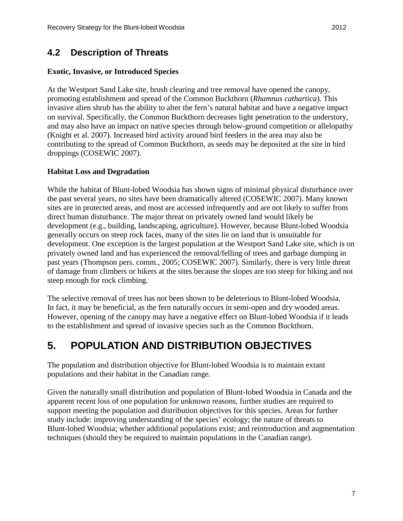### <span id="page-13-0"></span>**4.2 Description of Threats**

#### **Exotic, Invasive, or Introduced Species**

At the Westport Sand Lake site, brush clearing and tree removal have opened the canopy, promoting establishment and spread of the Common Buckthorn (*Rhamnus cathartica*). This invasive alien shrub has the ability to alter the fern's natural habitat and have a negative impact on survival. Specifically, the Common Buckthorn decreases light penetration to the understory, and may also have an impact on native species through below-ground competition or allelopathy (Knight et al. 2007). Increased bird activity around bird feeders in the area may also be contributing to the spread of Common Buckthorn, as seeds may be deposited at the site in bird droppings (COSEWIC 2007).

#### **Habitat Loss and Degradation**

While the habitat of Blunt-lobed Woodsia has shown signs of minimal physical disturbance over the past several years, no sites have been dramatically altered (COSEWIC 2007). Many known sites are in protected areas, and most are accessed infrequently and are not likely to suffer from direct human disturbance. The major threat on privately owned land would likely be development (e.g., building, landscaping, agriculture). However, because Blunt-lobed Woodsia generally occurs on steep rock faces, many of the sites lie on land that is unsuitable for development. One exception is the largest population at the Westport Sand Lake site, which is on privately owned land and has experienced the removal/felling of trees and garbage dumping in past years (Thompson pers. comm., 2005; COSEWIC 2007). Similarly, there is very little threat of damage from climbers or hikers at the sites because the slopes are too steep for hiking and not steep enough for rock climbing.

The selective removal of trees has not been shown to be deleterious to Blunt-lobed Woodsia. In fact, it may be beneficial, as the fern naturally occurs in semi-open and dry wooded areas. However, opening of the canopy may have a negative effect on Blunt-lobed Woodsia if it leads to the establishment and spread of invasive species such as the Common Buckthorn.

## <span id="page-13-1"></span>**5. POPULATION AND DISTRIBUTION OBJECTIVES**

The population and distribution objective for Blunt-lobed Woodsia is to maintain extant populations and their habitat in the Canadian range.

Given the naturally small distribution and population of Blunt-lobed Woodsia in Canada and the apparent recent loss of one population for unknown reasons, further studies are required to support meeting the population and distribution objectives for this species. Areas for further study include: improving understanding of the species' ecology; the nature of threats to Blunt-lobed Woodsia; whether additional populations exist; and reintroduction and augmentation techniques (should they be required to maintain populations in the Canadian range).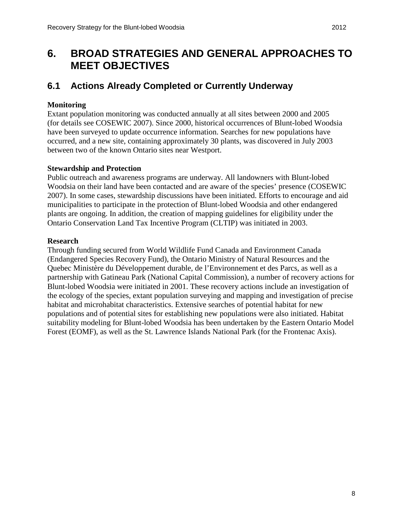## <span id="page-14-0"></span>**6. BROAD STRATEGIES AND GENERAL APPROACHES TO MEET OBJECTIVES**

### <span id="page-14-1"></span>**6.1 Actions Already Completed or Currently Underway**

#### **Monitoring**

Extant population monitoring was conducted annually at all sites between 2000 and 2005 (for details see COSEWIC 2007). Since 2000, historical occurrences of Blunt-lobed Woodsia have been surveyed to update occurrence information. Searches for new populations have occurred, and a new site, containing approximately 30 plants, was discovered in July 2003 between two of the known Ontario sites near Westport.

#### **Stewardship and Protection**

Public outreach and awareness programs are underway. All landowners with Blunt-lobed Woodsia on their land have been contacted and are aware of the species' presence (COSEWIC 2007). In some cases, stewardship discussions have been initiated. Efforts to encourage and aid municipalities to participate in the protection of Blunt-lobed Woodsia and other endangered plants are ongoing. In addition, the creation of mapping guidelines for eligibility under the Ontario Conservation Land Tax Incentive Program (CLTIP) was initiated in 2003.

#### **Research**

Through funding secured from World Wildlife Fund Canada and Environment Canada (Endangered Species Recovery Fund), the Ontario Ministry of Natural Resources and the Quebec Ministère du Développement durable, de l'Environnement et des Parcs, as well as a partnership with Gatineau Park (National Capital Commission), a number of recovery actions for Blunt-lobed Woodsia were initiated in 2001. These recovery actions include an investigation of the ecology of the species, extant population surveying and mapping and investigation of precise habitat and microhabitat characteristics. Extensive searches of potential habitat for new populations and of potential sites for establishing new populations were also initiated. Habitat suitability modeling for Blunt-lobed Woodsia has been undertaken by the Eastern Ontario Model Forest (EOMF), as well as the St. Lawrence Islands National Park (for the Frontenac Axis).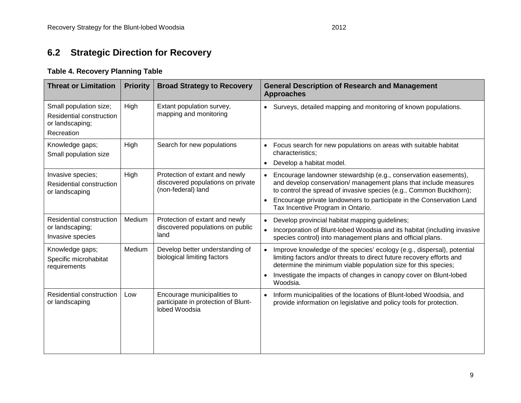#### **Table 4. Recovery Planning Table**

<span id="page-15-0"></span>

| <b>Threat or Limitation</b>                                                         | <b>Priority</b> | <b>Broad Strategy to Recovery</b>                                                         | <b>General Description of Research and Management</b><br><b>Approaches</b>                                                                                                                                                                                                                                                           |  |  |
|-------------------------------------------------------------------------------------|-----------------|-------------------------------------------------------------------------------------------|--------------------------------------------------------------------------------------------------------------------------------------------------------------------------------------------------------------------------------------------------------------------------------------------------------------------------------------|--|--|
| Small population size;<br>Residential construction<br>or landscaping;<br>Recreation | High            | Extant population survey,<br>mapping and monitoring                                       | Surveys, detailed mapping and monitoring of known populations.<br>$\bullet$                                                                                                                                                                                                                                                          |  |  |
| Knowledge gaps;<br>Small population size                                            | High            | Search for new populations                                                                | Focus search for new populations on areas with suitable habitat<br>$\bullet$<br>characteristics;<br>Develop a habitat model.<br>$\bullet$                                                                                                                                                                                            |  |  |
| Invasive species;<br>Residential construction<br>or landscaping                     | High            | Protection of extant and newly<br>discovered populations on private<br>(non-federal) land | Encourage landowner stewardship (e.g., conservation easements),<br>and develop conservation/ management plans that include measures<br>to control the spread of invasive species (e.g., Common Buckthorn);<br>Encourage private landowners to participate in the Conservation Land<br>$\bullet$<br>Tax Incentive Program in Ontario. |  |  |
| Residential construction<br>or landscaping;<br>Invasive species                     | Medium          | Protection of extant and newly<br>discovered populations on public<br>land                | Develop provincial habitat mapping guidelines;<br>$\bullet$<br>Incorporation of Blunt-lobed Woodsia and its habitat (including invasive<br>$\bullet$<br>species control) into management plans and official plans.                                                                                                                   |  |  |
| Knowledge gaps;<br>Specific microhabitat<br>requirements                            | Medium          | Develop better understanding of<br>biological limiting factors                            | Improve knowledge of the species' ecology (e.g., dispersal), potential<br>limiting factors and/or threats to direct future recovery efforts and<br>determine the minimum viable population size for this species;<br>Investigate the impacts of changes in canopy cover on Blunt-lobed<br>$\bullet$<br>Woodsia.                      |  |  |
| Residential construction<br>or landscaping                                          | Low             | Encourage municipalities to<br>participate in protection of Blunt-<br>lobed Woodsia       | Inform municipalities of the locations of Blunt-lobed Woodsia, and<br>$\bullet$<br>provide information on legislative and policy tools for protection.                                                                                                                                                                               |  |  |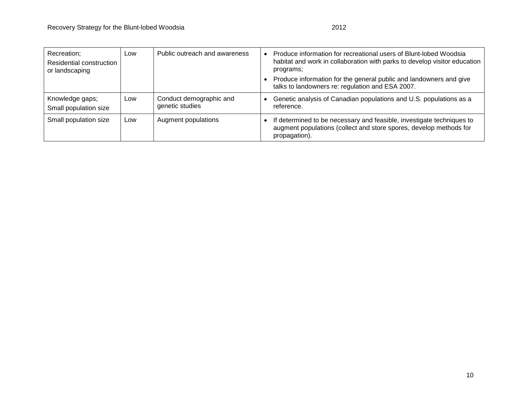| Recreation;<br>Residential construction<br>or landscaping | Low | Public outreach and awareness              | Produce information for recreational users of Blunt-lobed Woodsia<br>habitat and work in collaboration with parks to develop visitor education<br>programs;  |
|-----------------------------------------------------------|-----|--------------------------------------------|--------------------------------------------------------------------------------------------------------------------------------------------------------------|
|                                                           |     |                                            | Produce information for the general public and landowners and give<br>talks to landowners re: regulation and ESA 2007.                                       |
| Knowledge gaps;<br>Small population size                  | Low | Conduct demographic and<br>genetic studies | Genetic analysis of Canadian populations and U.S. populations as a<br>reference.                                                                             |
| Small population size                                     | Low | Augment populations                        | If determined to be necessary and feasible, investigate techniques to<br>augment populations (collect and store spores, develop methods for<br>propagation). |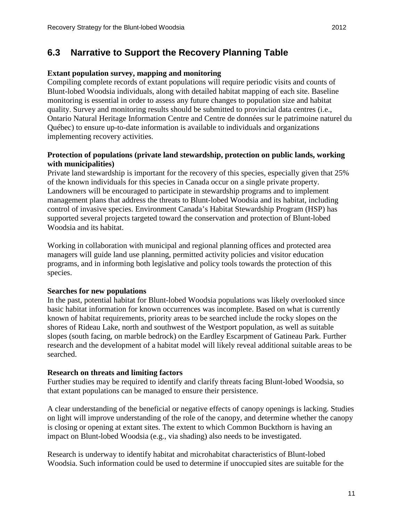### <span id="page-17-0"></span>**6.3 Narrative to Support the Recovery Planning Table**

#### **Extant population survey, mapping and monitoring**

Compiling complete records of extant populations will require periodic visits and counts of Blunt-lobed Woodsia individuals, along with detailed habitat mapping of each site. Baseline monitoring is essential in order to assess any future changes to population size and habitat quality. Survey and monitoring results should be submitted to provincial data centres (i.e., Ontario Natural Heritage Information Centre and Centre de données sur le patrimoine naturel du Québec) to ensure up-to-date information is available to individuals and organizations implementing recovery activities.

#### **Protection of populations (private land stewardship, protection on public lands, working with municipalities)**

Private land stewardship is important for the recovery of this species, especially given that 25% of the known individuals for this species in Canada occur on a single private property. Landowners will be encouraged to participate in stewardship programs and to implement management plans that address the threats to Blunt-lobed Woodsia and its habitat, including control of invasive species. Environment Canada's Habitat Stewardship Program (HSP) has supported several projects targeted toward the conservation and protection of Blunt-lobed Woodsia and its habitat.

Working in collaboration with municipal and regional planning offices and protected area managers will guide land use planning, permitted activity policies and visitor education programs, and in informing both legislative and policy tools towards the protection of this species.

#### **Searches for new populations**

In the past, potential habitat for Blunt-lobed Woodsia populations was likely overlooked since basic habitat information for known occurrences was incomplete. Based on what is currently known of habitat requirements, priority areas to be searched include the rocky slopes on the shores of Rideau Lake, north and southwest of the Westport population, as well as suitable slopes (south facing, on marble bedrock) on the Eardley Escarpment of Gatineau Park. Further research and the development of a habitat model will likely reveal additional suitable areas to be searched.

#### **Research on threats and limiting factors**

Further studies may be required to identify and clarify threats facing Blunt-lobed Woodsia, so that extant populations can be managed to ensure their persistence.

A clear understanding of the beneficial or negative effects of canopy openings is lacking. Studies on light will improve understanding of the role of the canopy, and determine whether the canopy is closing or opening at extant sites. The extent to which Common Buckthorn is having an impact on Blunt-lobed Woodsia (e.g., via shading) also needs to be investigated.

Research is underway to identify habitat and microhabitat characteristics of Blunt-lobed Woodsia. Such information could be used to determine if unoccupied sites are suitable for the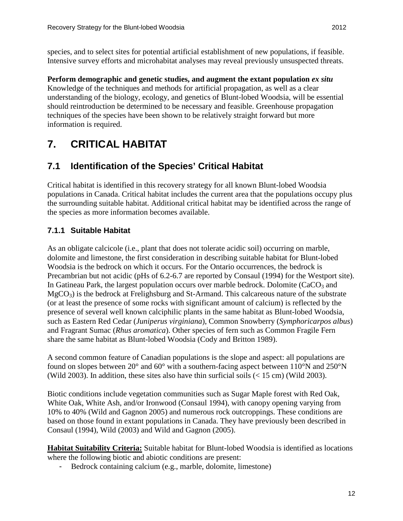**Perform demographic and genetic studies, and augment the extant population** *ex situ* Knowledge of the techniques and methods for artificial propagation, as well as a clear understanding of the biology, ecology, and genetics of Blunt-lobed Woodsia, will be essential should reintroduction be determined to be necessary and feasible. Greenhouse propagation techniques of the species have been shown to be relatively straight forward but more information is required.

# <span id="page-18-0"></span>**7. CRITICAL HABITAT**

### <span id="page-18-1"></span>**7.1 Identification of the Species' Critical Habitat**

Critical habitat is identified in this recovery strategy for all known Blunt-lobed Woodsia populations in Canada. Critical habitat includes the current area that the populations occupy plus the surrounding suitable habitat. Additional critical habitat may be identified across the range of the species as more information becomes available.

#### <span id="page-18-2"></span>**7.1.1 Suitable Habitat**

As an obligate calcicole (i.e., plant that does not tolerate acidic soil) occurring on marble, dolomite and limestone, the first consideration in describing suitable habitat for Blunt-lobed Woodsia is the bedrock on which it occurs. For the Ontario occurrences, the bedrock is Precambrian but not acidic (pHs of 6.2-6.7 are reported by Consaul (1994) for the Westport site). In Gatineau Park, the largest population occurs over marble bedrock. Dolomite ( $CaCO<sub>3</sub>$  and  $MgCO<sub>3</sub>$ ) is the bedrock at Frelighsburg and St-Armand. This calcareous nature of the substrate (or at least the presence of some rocks with significant amount of calcium) is reflected by the presence of several well known calciphilic plants in the same habitat as Blunt-lobed Woodsia, such as Eastern Red Cedar (*Juniperus virginiana*), Common Snowberry (*Symphoricarpos albus*) and Fragrant Sumac (*Rhus aromatica*). Other species of fern such as Common Fragile Fern share the same habitat as Blunt-lobed Woodsia (Cody and Britton 1989).

A second common feature of Canadian populations is the slope and aspect: all populations are found on slopes between 20 $^{\circ}$  and 60 $^{\circ}$  with a southern-facing aspect between 110 $^{\circ}$ N and 250 $^{\circ}$ N (Wild 2003). In addition, these sites also have thin surficial soils  $(< 15 \text{ cm})$  (Wild 2003).

Biotic conditions include vegetation communities such as Sugar Maple forest with Red Oak, White Oak, White Ash, and/or Ironwood (Consaul 1994), with canopy opening varying from 10% to 40% (Wild and Gagnon 2005) and numerous rock outcroppings. These conditions are based on those found in extant populations in Canada. They have previously been described in Consaul (1994), Wild (2003) and Wild and Gagnon (2005).

Habitat Suitability Criteria: Suitable habitat for Blunt-lobed Woodsia is identified as locations where the following biotic and abiotic conditions are present:

- Bedrock containing calcium (e.g., marble, dolomite, limestone)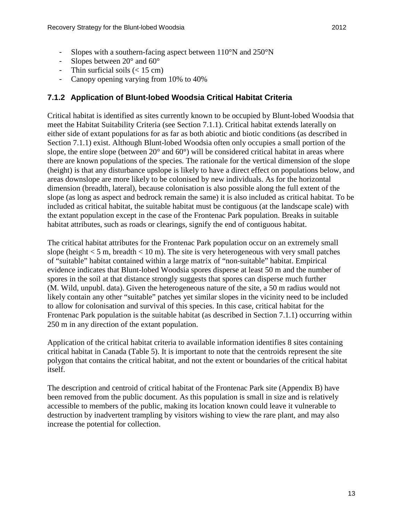- Slopes with a southern-facing aspect between  $110^{\circ}$ N and  $250^{\circ}$ N
- Slopes between  $20^{\circ}$  and  $60^{\circ}$
- Thin surficial soils  $(< 15 \text{ cm})$
- Canopy opening varying from 10% to 40%

#### <span id="page-19-0"></span>**7.1.2 Application of Blunt-lobed Woodsia Critical Habitat Criteria**

Critical habitat is identified as sites currently known to be occupied by Blunt-lobed Woodsia that meet the Habitat Suitability Criteria (see Section 7.1.1). Critical habitat extends laterally on either side of extant populations for as far as both abiotic and biotic conditions (as described in Section 7.1.1) exist. Although Blunt-lobed Woodsia often only occupies a small portion of the slope, the entire slope (between 20° and 60°) will be considered critical habitat in areas where there are known populations of the species. The rationale for the vertical dimension of the slope (height) is that any disturbance upslope is likely to have a direct effect on populations below, and areas downslope are more likely to be colonised by new individuals. As for the horizontal dimension (breadth, lateral), because colonisation is also possible along the full extent of the slope (as long as aspect and bedrock remain the same) it is also included as critical habitat. To be included as critical habitat, the suitable habitat must be contiguous (at the landscape scale) with the extant population except in the case of the Frontenac Park population. Breaks in suitable habitat attributes, such as roads or clearings, signify the end of contiguous habitat.

The critical habitat attributes for the Frontenac Park population occur on an extremely small slope (height  $< 5$  m, breadth  $< 10$  m). The site is very heterogeneous with very small patches of "suitable" habitat contained within a large matrix of "non-suitable" habitat. Empirical evidence indicates that Blunt-lobed Woodsia spores disperse at least 50 m and the number of spores in the soil at that distance strongly suggests that spores can disperse much further (M. Wild, unpubl. data). Given the heterogeneous nature of the site, a 50 m radius would not likely contain any other "suitable" patches yet similar slopes in the vicinity need to be included to allow for colonisation and survival of this species. In this case, critical habitat for the Frontenac Park population is the suitable habitat (as described in Section 7.1.1) occurring within 250 m in any direction of the extant population.

Application of the critical habitat criteria to available information identifies 8 sites containing critical habitat in Canada (Table 5). It is important to note that the centroids represent the site polygon that contains the critical habitat, and not the extent or boundaries of the critical habitat itself.

The description and centroid of critical habitat of the Frontenac Park site (Appendix B) have been removed from the public document. As this population is small in size and is relatively accessible to members of the public, making its location known could leave it vulnerable to destruction by inadvertent trampling by visitors wishing to view the rare plant, and may also increase the potential for collection.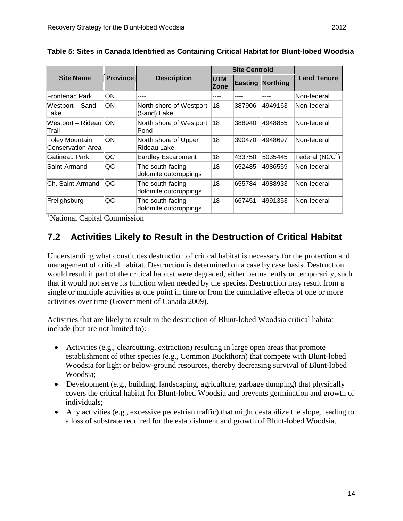|                                     |           |                                           |                           | <b>Site Centroid</b> |                         |                        |
|-------------------------------------|-----------|-------------------------------------------|---------------------------|----------------------|-------------------------|------------------------|
| <b>Site Name</b><br><b>Province</b> |           | <b>Description</b>                        | <b>UTM</b><br><b>Zone</b> |                      | <b>Easting Northing</b> | <b>Land Tenure</b>     |
| Frontenac Park                      | lОN       |                                           |                           |                      |                         | Non-federal            |
| Westport - Sand<br>Lake             | lΟN       | North shore of Westport<br>(Sand) Lake    | 18                        | 387906               | 4949163                 | Non-federal            |
| Westport - Rideau<br>Trail          | <b>ON</b> | North shore of Westport<br>Pond           | 18                        | 388940               | 4948855                 | Non-federal            |
| Foley Mountain<br>Conservation Area | ЮN        | North shore of Upper<br>Rideau Lake       | 18                        | 390470               | 4948697                 | Non-federal            |
| Gatineau Park                       | QC        | <b>Eardley Escarpment</b>                 | 18                        | 433750               | 5035445                 | $ $ Federal (NCC $ $ ) |
| Saint-Armand                        | lQC       | The south-facing<br>dolomite outcroppings | 18                        | 652485               | 4986559                 | Non-federal            |
| Ch. Saint-Armand                    | lQC       | The south-facing<br>dolomite outcroppings | 18                        | 655784               | 4988933                 | Non-federal            |
| Frelighsburg                        | QC        | The south-facing<br>dolomite outcroppings | 18                        | 667451               | 4991353                 | Non-federal            |

**Table 5: Sites in Canada Identified as Containing Critical Habitat for Blunt-lobed Woodsia**

<sup>1</sup>National Capital Commission

### <span id="page-20-0"></span>**7.2 Activities Likely to Result in the Destruction of Critical Habitat**

Understanding what constitutes destruction of critical habitat is necessary for the protection and management of critical habitat. Destruction is determined on a case by case basis. Destruction would result if part of the critical habitat were degraded, either permanently or temporarily, such that it would not serve its function when needed by the species. Destruction may result from a single or multiple activities at one point in time or from the cumulative effects of one or more activities over time (Government of Canada 2009).

Activities that are likely to result in the destruction of Blunt-lobed Woodsia critical habitat include (but are not limited to):

- Activities (e.g., clearcutting, extraction) resulting in large open areas that promote establishment of other species (e.g., Common Buckthorn) that compete with Blunt-lobed Woodsia for light or below-ground resources, thereby decreasing survival of Blunt-lobed Woodsia;
- Development (e.g., building, landscaping, agriculture, garbage dumping) that physically covers the critical habitat for Blunt-lobed Woodsia and prevents germination and growth of individuals;
- Any activities (e.g., excessive pedestrian traffic) that might destabilize the slope, leading to a loss of substrate required for the establishment and growth of Blunt-lobed Woodsia.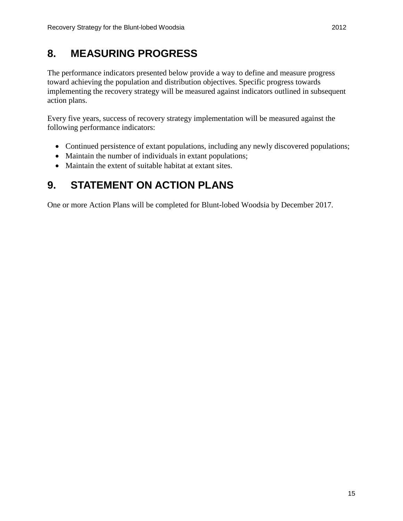# <span id="page-21-0"></span>**8. MEASURING PROGRESS**

The performance indicators presented below provide a way to define and measure progress toward achieving the population and distribution objectives. Specific progress towards implementing the recovery strategy will be measured against indicators outlined in subsequent action plans.

Every five years, success of recovery strategy implementation will be measured against the following performance indicators:

- Continued persistence of extant populations, including any newly discovered populations;
- Maintain the number of individuals in extant populations;
- Maintain the extent of suitable habitat at extant sites.

# <span id="page-21-1"></span>**9. STATEMENT ON ACTION PLANS**

One or more Action Plans will be completed for Blunt-lobed Woodsia by December 2017.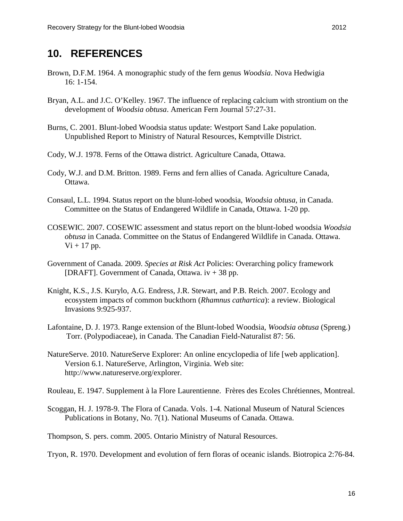### <span id="page-22-0"></span>**10. REFERENCES**

- Brown, D.F.M. 1964. A monographic study of the fern genus *Woodsia*. Nova Hedwigia 16: 1-154.
- Bryan, A.L. and J.C. O'Kelley. 1967. The influence of replacing calcium with strontium on the development of *Woodsia obtusa*. American Fern Journal 57:27-31.
- Burns, C. 2001. Blunt-lobed Woodsia status update: Westport Sand Lake population. Unpublished Report to Ministry of Natural Resources, Kemptville District.
- Cody, W.J. 1978. Ferns of the Ottawa district. Agriculture Canada, Ottawa.
- Cody, W.J. and D.M. Britton. 1989. Ferns and fern allies of Canada. Agriculture Canada, Ottawa.
- Consaul, L.L. 1994. Status report on the blunt-lobed woodsia, *Woodsia obtusa*, in Canada. Committee on the Status of Endangered Wildlife in Canada, Ottawa. 1-20 pp.
- COSEWIC. 2007. COSEWIC assessment and status report on the blunt-lobed woodsia *Woodsia obtusa* in Canada. Committee on the Status of Endangered Wildlife in Canada. Ottawa.  $Vi + 17$  pp.
- Government of Canada. 2009. *Species at Risk Act* Policies: Overarching policy framework [DRAFT]. Government of Canada, Ottawa.  $iv + 38$  pp.
- Knight, K.S., J.S. Kurylo, A.G. Endress, J.R. Stewart, and P.B. Reich. 2007. Ecology and ecosystem impacts of common buckthorn (*Rhamnus cathartica*): a review. Biological Invasions 9:925-937.
- Lafontaine, D. J. 1973. Range extension of the Blunt-lobed Woodsia, *Woodsia obtusa* (Spreng.) Torr. (Polypodiaceae), in Canada. The Canadian Field-Naturalist 87: 56.
- NatureServe. 2010. NatureServe Explorer: An online encyclopedia of life [web application]. Version 6.1. NatureServe, Arlington, Virginia. Web site: http://www.natureserve.org/explorer.

Rouleau, E. 1947. Supplement à la Flore Laurentienne. Frères des Ecoles Chrétiennes, Montreal.

Scoggan, H. J. 1978-9. The Flora of Canada. Vols. 1-4. National Museum of Natural Sciences Publications in Botany, No. 7(1). National Museums of Canada. Ottawa.

Thompson, S. pers. comm. 2005. Ontario Ministry of Natural Resources.

Tryon, R. 1970. Development and evolution of fern floras of oceanic islands. Biotropica 2:76-84.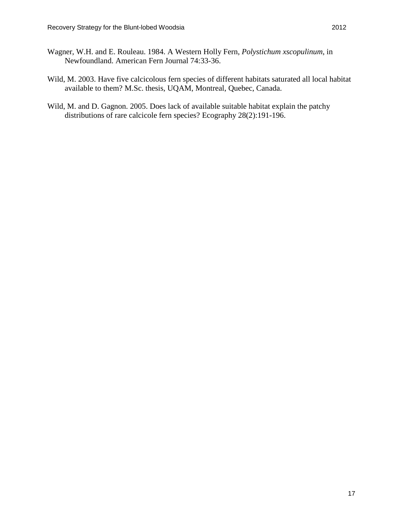- Wagner, W.H. and E. Rouleau. 1984. A Western Holly Fern, *Polystichum xscopulinum*, in Newfoundland. American Fern Journal 74:33-36.
- Wild, M. 2003. Have five calcicolous fern species of different habitats saturated all local habitat available to them? M.Sc. thesis, UQAM, Montreal, Quebec, Canada.
- Wild, M. and D. Gagnon. 2005. Does lack of available suitable habitat explain the patchy distributions of rare calcicole fern species? Ecography 28(2):191-196.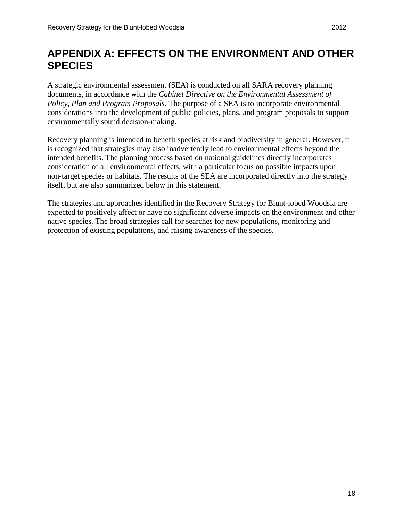# <span id="page-24-0"></span>**APPENDIX A: EFFECTS ON THE ENVIRONMENT AND OTHER SPECIES**

A strategic environmental assessment (SEA) is conducted on all SARA recovery planning documents, in accordance with the *Cabinet Directive on the Environmental Assessment of Policy, Plan and Program Proposals*. The purpose of a SEA is to incorporate environmental considerations into the development of public policies, plans, and program proposals to support environmentally sound decision-making.

Recovery planning is intended to benefit species at risk and biodiversity in general. However, it is recognized that strategies may also inadvertently lead to environmental effects beyond the intended benefits. The planning process based on national guidelines directly incorporates consideration of all environmental effects, with a particular focus on possible impacts upon non-target species or habitats. The results of the SEA are incorporated directly into the strategy itself, but are also summarized below in this statement.

The strategies and approaches identified in the Recovery Strategy for Blunt-lobed Woodsia are expected to positively affect or have no significant adverse impacts on the environment and other native species. The broad strategies call for searches for new populations, monitoring and protection of existing populations, and raising awareness of the species.